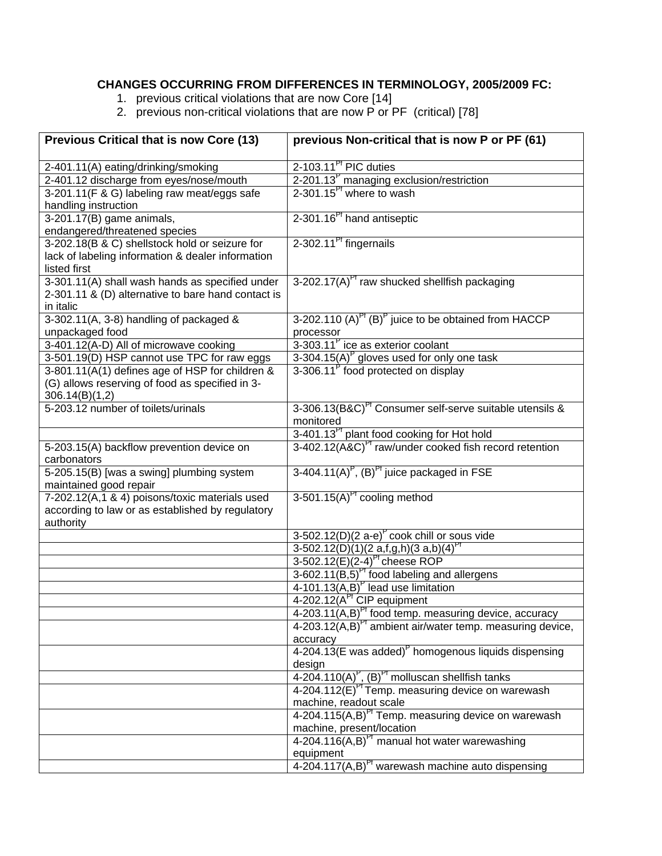## **CHANGES OCCURRING FROM DIFFERENCES IN TERMINOLOGY, 2005/2009 FC:**

- 1. previous critical violations that are now Core [14]
- 2. previous non-critical violations that are now P or PF (critical) [78]

| <b>Previous Critical that is now Core (13)</b>     | previous Non-critical that is now P or PF (61)                                |
|----------------------------------------------------|-------------------------------------------------------------------------------|
| 2-401.11(A) eating/drinking/smoking                | 2-103.11 <sup>Pt</sup> PIC duties                                             |
| 2-401.12 discharge from eyes/nose/mouth            | 2-201.13 <sup>P</sup> managing exclusion/restriction                          |
| 3-201.11(F & G) labeling raw meat/eggs safe        | 2-301.15 $^{P}$ where to wash                                                 |
| handling instruction                               |                                                                               |
| 3-201.17(B) game animals,                          | 2-301.16 <sup>Pt</sup> hand antiseptic                                        |
| endangered/threatened species                      |                                                                               |
| 3-202.18(B & C) shellstock hold or seizure for     | 2-302.11 <sup>Pt</sup> fingernails                                            |
| lack of labeling information & dealer information  |                                                                               |
| listed first                                       |                                                                               |
| 3-301.11(A) shall wash hands as specified under    | 3-202.17(A) <sup>Pt</sup> raw shucked shellfish packaging                     |
| 2-301.11 & (D) alternative to bare hand contact is |                                                                               |
| in italic                                          |                                                                               |
| 3-302.11(A, 3-8) handling of packaged &            | 3-202.110 $(A)^{P^{\dagger}}(B)^{P}$ juice to be obtained from HACCP          |
| unpackaged food                                    | processor                                                                     |
| 3-401.12(A-D) All of microwave cooking             | 3-303.11 <sup>P</sup> ice as exterior coolant                                 |
| 3-501.19(D) HSP cannot use TPC for raw eggs        | 3-304.15(A) $P$ gloves used for only one task                                 |
| 3-801.11(A(1) defines age of HSP for children &    | 3-306.11 <sup>P</sup> food protected on display                               |
| (G) allows reserving of food as specified in 3-    |                                                                               |
| 306.14(B)(1,2)                                     |                                                                               |
| 5-203.12 number of toilets/urinals                 | 3-306.13(B&C) <sup>Pt</sup> Consumer self-serve suitable utensils &           |
|                                                    | monitored                                                                     |
|                                                    | 3-401.13 <sup>Pt</sup> plant food cooking for Hot hold                        |
| 5-203.15(A) backflow prevention device on          | 3-402.12(A&C) <sup>Pr</sup> raw/under cooked fish record retention            |
| carbonators                                        |                                                                               |
| 5-205.15(B) [was a swing] plumbing system          | $3-404.11(A)^P$ , $(B)^P$ juice packaged in FSE                               |
| maintained good repair                             |                                                                               |
| 7-202.12(A,1 & 4) poisons/toxic materials used     | $3-501.15(A)$ <sup>Pt</sup> cooling method                                    |
| according to law or as established by regulatory   |                                                                               |
| authority                                          |                                                                               |
|                                                    | $3-502.12(D)(2 a-e)^P$ cook chill or sous vide                                |
|                                                    | $3-502.12(D)(1)(2 a,f,g,h)(3 a,b)(4)^{Pf}$                                    |
|                                                    | $3-502.12(E)(2-4)^{P}$ cheese ROP                                             |
|                                                    | $3-602.11(B,5)^{P1}$ food labeling and allergens                              |
|                                                    | 4-101.13 $(A,B)^P$ lead use limitation                                        |
|                                                    | 4-202.12(A <sup>PT</sup> CIP equipment                                        |
|                                                    | 4-203.11(A,B) <sup>Pr</sup> food temp. measuring device, accuracy             |
|                                                    | 4-203.12(A,B) <sup>PT</sup> ambient air/water temp. measuring device,         |
|                                                    | accuracy                                                                      |
|                                                    | 4-204.13(E was added) <sup>P</sup> homogenous liquids dispensing              |
|                                                    | design                                                                        |
|                                                    | 4-204.110(A) <sup>P</sup> , (B) <sup>P†</sup> molluscan shellfish tanks       |
|                                                    | 4-204.112(E) <sup>Pt</sup> Temp. measuring device on warewash                 |
|                                                    | machine, readout scale                                                        |
|                                                    | 4-204.115(A,B) <sup>Pt</sup> Temp. measuring device on warewash               |
|                                                    | machine, present/location<br>$4-204.116(A,B)PI$ manual hot water warewashing  |
|                                                    |                                                                               |
|                                                    | equipment<br>4-204.117 $(A,B)$ <sup>Pt</sup> warewash machine auto dispensing |
|                                                    |                                                                               |